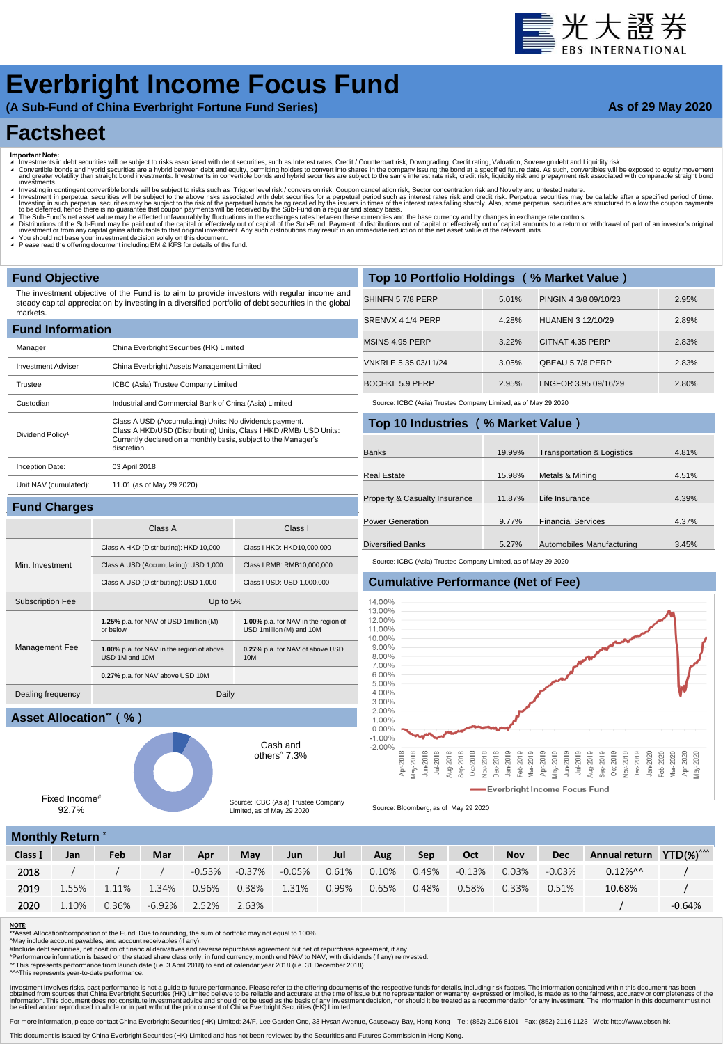# 臺光大證券

## **Everbright Income Focus Fund**

**(A Sub-Fund of China Everbright Fortune Fund Series)**

**As of 29 May 2020**

### **Factsheet**

- 
- Important Note:<br>▲ Investments in debt securities will be subject to risks associated with debt securities, such as Interest rates, Credit / Counterpart risk, Downgrading, Credit rating, Valuation, Sovereign debt and Equid
- nvestinens.<br>Investing in contingent convertible bonds will be subject to risks such as Trigger level risk / conversion risk, Coupon cancellation risk, Sector concentration risk and Novelty and untested nature. Investment in perpetual securities will be subject to the above risks associated with debt securities for a perpetual period such as interest rates risk and credit risk. Perpetual securities may be callable after a specifi
- 
- A The Sub-Fund's net asset value may be affected unfavourably by fluctuations in the exchanges rates between these currencies and the base currency and by changes in exchange rate controls.<br>A Distributions of the Sub-Fund
- ◢ You should not base your investment decision solely on this document. ◢ Please read the offering document including EM & KFS for details of the fund.

Subscription Fee Up to 5%

USD 1M and 10M

Dealing frequency Daily

**1.25%** p.a. for NAV of USD 1million (M) or below

**1.00%** p.a. for NAV in the region of above

**0.27%** p.a. for NAV above USD 10M

#### **Fund Objective**

Min. Investment

Management Fee

The investment objective of the Fund is to aim to provide investors with regular income and steady capital appreciation by investing in a diversified portfolio of debt securities in the global markets.

| <b>Fund Information</b>      |                                                                                                                                                                                                                  |
|------------------------------|------------------------------------------------------------------------------------------------------------------------------------------------------------------------------------------------------------------|
| Manager                      | China Everbright Securities (HK) Limited                                                                                                                                                                         |
| <b>Investment Adviser</b>    | China Everbright Assets Management Limited                                                                                                                                                                       |
| Trustee                      | ICBC (Asia) Trustee Company Limited                                                                                                                                                                              |
| Custodian                    | Industrial and Commercial Bank of China (Asia) Limited                                                                                                                                                           |
| Dividend Policy <sup>1</sup> | Class A USD (Accumulating) Units: No dividends payment.<br>Class A HKD/USD (Distributing) Units, Class I HKD / RMB/ USD Units:<br>Currently declared on a monthly basis, subject to the Manager's<br>discretion. |
| Inception Date:              | 03 April 2018                                                                                                                                                                                                    |
| Unit NAV (cumulated):        | 11.01 (as of May 29 2020)                                                                                                                                                                                        |
| <b>Fund Charges</b>          |                                                                                                                                                                                                                  |

| Top 10 Portfolio Holdings (% Market Value) |       |                       |       |  |  |  |  |  |  |  |
|--------------------------------------------|-------|-----------------------|-------|--|--|--|--|--|--|--|
| SHINFN 57/8 PERP                           | 5.01% | PINGIN 4 3/8 09/10/23 | 2.95% |  |  |  |  |  |  |  |
| SRENVX 4 1/4 PERP                          | 4.28% | HUANEN 3 12/10/29     | 2.89% |  |  |  |  |  |  |  |
| MSINS 4.95 PERP                            | 3.22% | CITNAT 4.35 PERP      | 2.83% |  |  |  |  |  |  |  |
| VNKRLE 5.35 03/11/24                       | 3.05% | QBEAU 57/8 PERP       | 2.83% |  |  |  |  |  |  |  |
| BOCHKL 5.9 PERP                            | 2.95% | LNGFOR 3.95 09/16/29  | 2.80% |  |  |  |  |  |  |  |

Source: ICBC (Asia) Trustee Company Limited, as of May 29 2020

| Top 10 Industries (% Market Value) |        |                                       |       |  |  |  |  |  |  |  |  |
|------------------------------------|--------|---------------------------------------|-------|--|--|--|--|--|--|--|--|
|                                    |        |                                       |       |  |  |  |  |  |  |  |  |
| <b>Banks</b>                       | 19.99% | <b>Transportation &amp; Logistics</b> | 4.81% |  |  |  |  |  |  |  |  |
|                                    |        |                                       |       |  |  |  |  |  |  |  |  |
| Real Estate                        | 15.98% | Metals & Mining                       | 4.51% |  |  |  |  |  |  |  |  |
|                                    |        |                                       |       |  |  |  |  |  |  |  |  |
| Property & Casualty Insurance      | 11.87% | Life Insurance                        | 4.39% |  |  |  |  |  |  |  |  |
|                                    |        |                                       |       |  |  |  |  |  |  |  |  |
| <b>Power Generation</b>            | 9.77%  | <b>Financial Services</b>             | 4.37% |  |  |  |  |  |  |  |  |
|                                    |        |                                       |       |  |  |  |  |  |  |  |  |
| <b>Diversified Banks</b>           | 5.27%  | Automobiles Manufacturing             | 3.45% |  |  |  |  |  |  |  |  |

Source: ICBC (Asia) Trustee Company Limited, as of May 29 2020

#### **Cumulative Performance (Net of Fee)**



Source: Bloomberg, as of May 29 2020

#### **Monthly Return** \*

Fixed Income# 92.7%

**Asset Allocation\*\*(%)**

| $\cdots$ |       |       |          |       |               |        |       |       |       |        |            |            |                                     |          |
|----------|-------|-------|----------|-------|---------------|--------|-------|-------|-------|--------|------------|------------|-------------------------------------|----------|
| Class I  | Jan   | Feb   | Mar      | Apr   | May           | Jun    | Jul   | Aug   | Sep   | Oct    | <b>Nov</b> | <b>Dec</b> | Annual return YTD(%) <sup>^^^</sup> |          |
| 2018     |       |       |          |       | -0.53% -0.37% | -0.05% | 0.61% | 0.10% | 0.49% | -0.13% | 0.03%      | $-0.03\%$  | $0.12\%$ <sup>^^</sup>              |          |
| 2019     | 1.55% | 1.11% | 1.34%    | 0.96% | 0.38%         | 1.31%  | 0.99% | 0.65% | 0.48% | 0.58%  | 0.33%      | 0.51%      | 10.68%                              |          |
| 2020     | 1.10% | 0.36% | $-6.92%$ | 2.52% | 2.63%         |        |       |       |       |        |            |            |                                     | $-0.64%$ |

#### NOTE:

\*\*<del>\*\*\*</del><br>Asset Allocation/composition of the Fund: Due to rounding, the sum of portfolio may not equal to 100%

^May include account payables, and account receivables (if any).<br>#Include debt securities, net position of financial derivatives and reverse repurchase agreement but net of repurchase agreement, if any<br>\*Performance informa

^^This represents performance from launch date (i.e. 3 April 2018) to end of calendar year 2018 (i.e. 31 December 2018)

^^^This represents year-to-date performance.

Investment involves riss, past performance is not a guide to future performance. Please refer to the offering documents of the respective to be reliable and accurate at the time of issue but no representation or warranty,

For more information, please contact China Everbright Securities (HK) Limited: 24/F, Lee Garden One, 33 Hysan Avenue, Causeway Bay, Hong Kong Tel: (852) 2106 8101 Fax: (852) 2116 1123 Web: http://www.ebscn.hk

This document is issued by China Everbright Securities (HK) Limited and has not been reviewed by the Securities and Futures Commission in Hong Kong.

others^ 7.3% Source: ICBC (Asia) Trustee Company Limited, as of May 29 2020

Class A Class I

**1.00%** p.a. for NAV in the region of USD 1million (M) and 10M

**0.27%** p.a. for NAV of above USD

Cash and

10M

Class A HKD (Distributing): HKD 10,000 Class I HKD: HKD10,000,000 Class A USD (Accumulating): USD 1,000 Class I RMB: RMB10,000,000 Class A USD (Distributing): USD 1,000 Class I USD: USD 1,000,000